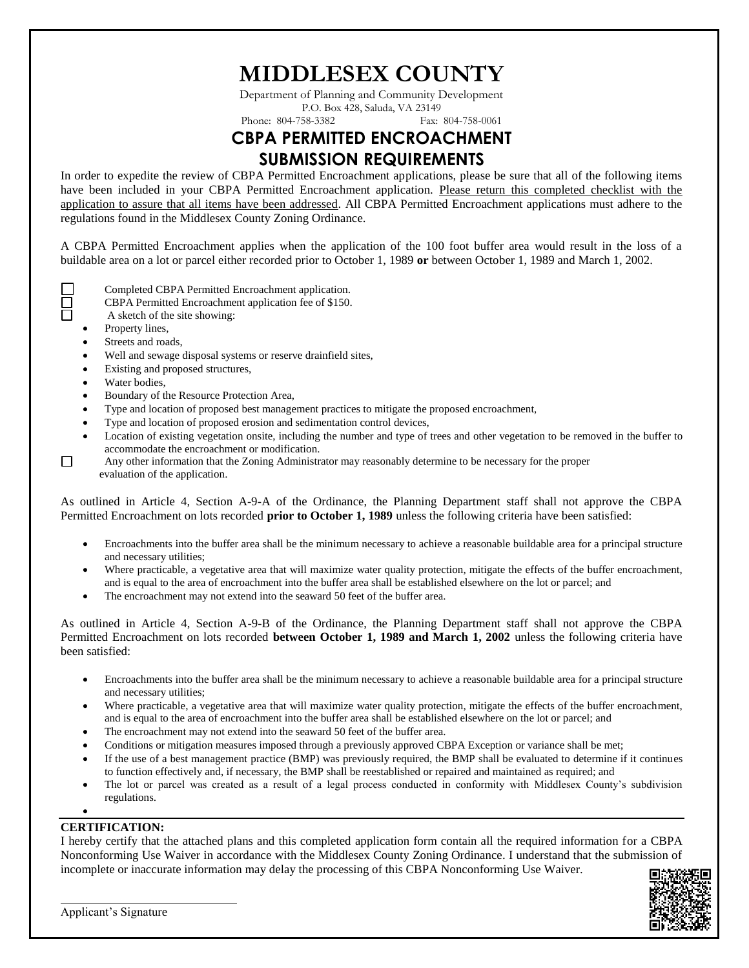## **MIDDLESEX COUNTY**

Department of Planning and Community Development P.O. Box 428, Saluda, VA 23149 Phone: 804-758-3382

### **CBPA PERMITTED ENCROACHMENT SUBMISSION REQUIREMENTS**

In order to expedite the review of CBPA Permitted Encroachment applications, please be sure that all of the following items have been included in your CBPA Permitted Encroachment application. Please return this completed checklist with the application to assure that all items have been addressed. All CBPA Permitted Encroachment applications must adhere to the regulations found in the Middlesex County Zoning Ordinance.

A CBPA Permitted Encroachment applies when the application of the 100 foot buffer area would result in the loss of a buildable area on a lot or parcel either recorded prior to October 1, 1989 **or** between October 1, 1989 and March 1, 2002.

- Completed CBPA Permitted Encroachment application.
- CBPA Permitted Encroachment application fee of \$150.
- A sketch of the site showing:
- Property lines,
- Streets and roads,
- Well and sewage disposal systems or reserve drainfield sites,
- Existing and proposed structures,
- Water bodies,

 $\Box$ 

- Boundary of the Resource Protection Area,
- Type and location of proposed best management practices to mitigate the proposed encroachment,
- Type and location of proposed erosion and sedimentation control devices,
- Location of existing vegetation onsite, including the number and type of trees and other vegetation to be removed in the buffer to accommodate the encroachment or modification.
- Any other information that the Zoning Administrator may reasonably determine to be necessary for the proper evaluation of the application.

As outlined in Article 4, Section A-9-A of the Ordinance, the Planning Department staff shall not approve the CBPA Permitted Encroachment on lots recorded **prior to October 1, 1989** unless the following criteria have been satisfied:

- Encroachments into the buffer area shall be the minimum necessary to achieve a reasonable buildable area for a principal structure and necessary utilities;
- Where practicable, a vegetative area that will maximize water quality protection, mitigate the effects of the buffer encroachment, and is equal to the area of encroachment into the buffer area shall be established elsewhere on the lot or parcel; and
- The encroachment may not extend into the seaward 50 feet of the buffer area.

As outlined in Article 4, Section A-9-B of the Ordinance, the Planning Department staff shall not approve the CBPA Permitted Encroachment on lots recorded **between October 1, 1989 and March 1, 2002** unless the following criteria have been satisfied:

- Encroachments into the buffer area shall be the minimum necessary to achieve a reasonable buildable area for a principal structure and necessary utilities;
- Where practicable, a vegetative area that will maximize water quality protection, mitigate the effects of the buffer encroachment, and is equal to the area of encroachment into the buffer area shall be established elsewhere on the lot or parcel; and
- The encroachment may not extend into the seaward 50 feet of the buffer area.
- Conditions or mitigation measures imposed through a previously approved CBPA Exception or variance shall be met;
- If the use of a best management practice (BMP) was previously required, the BMP shall be evaluated to determine if it continues to function effectively and, if necessary, the BMP shall be reestablished or repaired and maintained as required; and
- The lot or parcel was created as a result of a legal process conducted in conformity with Middlesex County's subdivision regulations.

#### $\bullet$

#### **CERTIFICATION:**

I hereby certify that the attached plans and this completed application form contain all the required information for a CBPA Nonconforming Use Waiver in accordance with the Middlesex County Zoning Ordinance. I understand that the submission of incomplete or inaccurate information may delay the processing of this CBPA Nonconforming Use Waiver.

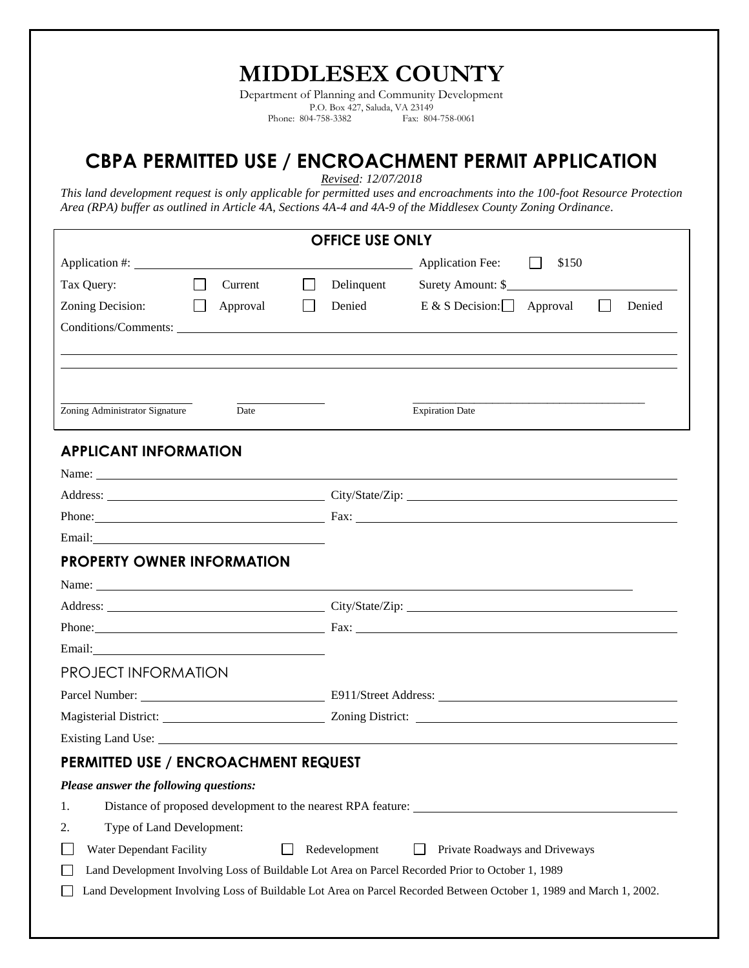# **MIDDLESEX COUNTY**

Department of Planning and Community Development P.O. Box 427, Saluda, VA 23149<br>94-758-3382 Fax: 804-758-0061 Phone: 804-758-3382

## **CBPA PERMITTED USE / ENCROACHMENT PERMIT APPLICATION**

*Revised: 12/07/2018*

*This land development request is only applicable for permitted uses and encroachments into the 100-foot Resource Protection Area (RPA) buffer as outlined in Article 4A, Sections 4A-4 and 4A-9 of the Middlesex County Zoning Ordinance.*

| <b>OFFICE USE ONLY</b>                                                                                              |                    |        |            |                        |                  |        |  |  |  |
|---------------------------------------------------------------------------------------------------------------------|--------------------|--------|------------|------------------------|------------------|--------|--|--|--|
|                                                                                                                     |                    |        |            |                        | \$150<br>$\perp$ |        |  |  |  |
| Tax Query:                                                                                                          | $\Box$<br>Current  | $\Box$ | Delinquent | Surety Amount: \$      |                  |        |  |  |  |
| Zoning Decision:                                                                                                    | $\Box$<br>Approval |        | Denied     | E & S Decision: $\Box$ | Approval         | Denied |  |  |  |
|                                                                                                                     |                    |        |            |                        |                  |        |  |  |  |
|                                                                                                                     |                    |        |            |                        |                  |        |  |  |  |
|                                                                                                                     |                    |        |            |                        |                  |        |  |  |  |
|                                                                                                                     |                    |        |            |                        |                  |        |  |  |  |
| Zoning Administrator Signature                                                                                      | Date               |        |            | <b>Expiration Date</b> |                  |        |  |  |  |
| <b>APPLICANT INFORMATION</b>                                                                                        |                    |        |            |                        |                  |        |  |  |  |
|                                                                                                                     |                    |        |            |                        |                  |        |  |  |  |
| Address: City/State/Zip: City/State/Zip:                                                                            |                    |        |            |                        |                  |        |  |  |  |
| Phone: Fax: Fax:                                                                                                    |                    |        |            |                        |                  |        |  |  |  |
|                                                                                                                     |                    |        |            |                        |                  |        |  |  |  |
| <b>PROPERTY OWNER INFORMATION</b>                                                                                   |                    |        |            |                        |                  |        |  |  |  |
|                                                                                                                     |                    |        |            |                        |                  |        |  |  |  |
| Address: City/State/Zip: City/State/Zip:                                                                            |                    |        |            |                        |                  |        |  |  |  |
|                                                                                                                     |                    |        |            |                        |                  |        |  |  |  |
|                                                                                                                     |                    |        |            |                        |                  |        |  |  |  |
| <b>PROJECT INFORMATION</b>                                                                                          |                    |        |            |                        |                  |        |  |  |  |
|                                                                                                                     |                    |        |            |                        |                  |        |  |  |  |
|                                                                                                                     |                    |        |            |                        |                  |        |  |  |  |
|                                                                                                                     |                    |        |            |                        |                  |        |  |  |  |
| <b>PERMITTED USE / ENCROACHMENT REQUEST</b>                                                                         |                    |        |            |                        |                  |        |  |  |  |
| Please answer the following questions:                                                                              |                    |        |            |                        |                  |        |  |  |  |
| Distance of proposed development to the nearest RPA feature:<br>1.                                                  |                    |        |            |                        |                  |        |  |  |  |
| Type of Land Development:<br>2.                                                                                     |                    |        |            |                        |                  |        |  |  |  |
| Water Dependant Facility<br>Redevelopment<br>Private Roadways and Driveways                                         |                    |        |            |                        |                  |        |  |  |  |
| Land Development Involving Loss of Buildable Lot Area on Parcel Recorded Prior to October 1, 1989<br>I.             |                    |        |            |                        |                  |        |  |  |  |
| Land Development Involving Loss of Buildable Lot Area on Parcel Recorded Between October 1, 1989 and March 1, 2002. |                    |        |            |                        |                  |        |  |  |  |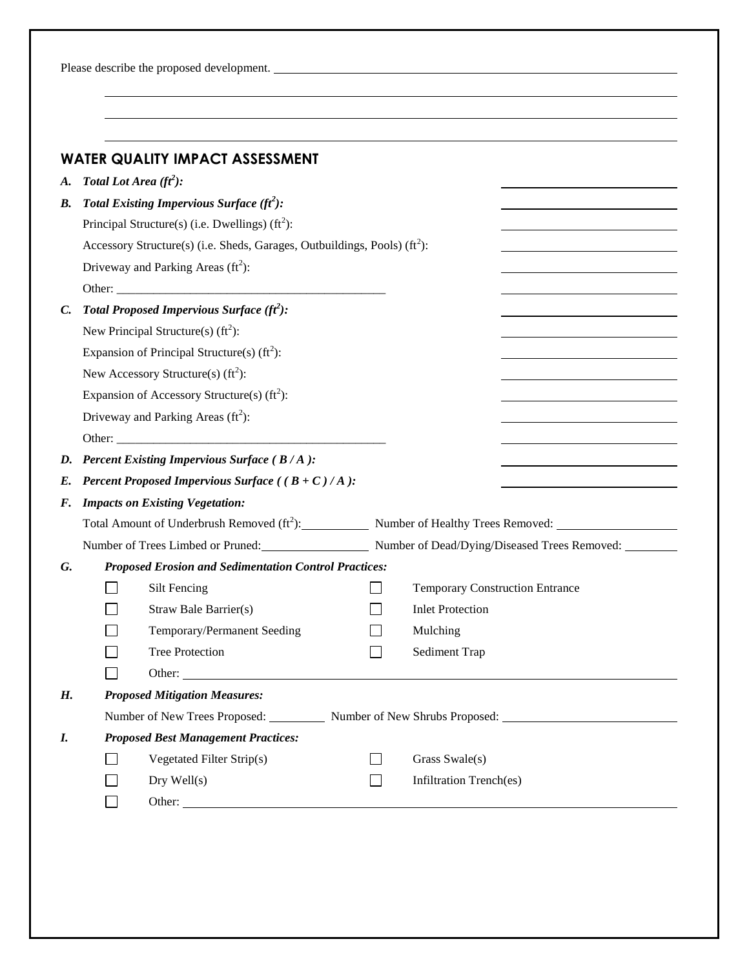Please describe the proposed development.

|                 |                                             | <b>WATER QUALITY IMPACT ASSESSMENT</b>                                        |              |                                                                                        |  |  |  |  |
|-----------------|---------------------------------------------|-------------------------------------------------------------------------------|--------------|----------------------------------------------------------------------------------------|--|--|--|--|
| A.              | Total Lot Area $(f^2)$ :                    |                                                                               |              |                                                                                        |  |  |  |  |
| В.              | Total Existing Impervious Surface $(f^2)$ : |                                                                               |              |                                                                                        |  |  |  |  |
|                 |                                             | Principal Structure(s) (i.e. Dwellings) $(f2)$ :                              |              |                                                                                        |  |  |  |  |
|                 |                                             | Accessory Structure(s) (i.e. Sheds, Garages, Outbuildings, Pools) $(f_t^2)$ : |              |                                                                                        |  |  |  |  |
|                 |                                             | Driveway and Parking Areas $(ft^2)$ :                                         |              |                                                                                        |  |  |  |  |
|                 |                                             |                                                                               |              |                                                                                        |  |  |  |  |
| $\mathcal{C}$ . |                                             | Total Proposed Impervious Surface $(f^2)$ :                                   |              |                                                                                        |  |  |  |  |
|                 |                                             | New Principal Structure(s) $(ft^2)$ :                                         |              |                                                                                        |  |  |  |  |
|                 |                                             | Expansion of Principal Structure(s) $(ft^2)$ :                                |              |                                                                                        |  |  |  |  |
|                 |                                             | New Accessory Structure(s) $(ft^2)$ :                                         |              |                                                                                        |  |  |  |  |
|                 |                                             | Expansion of Accessory Structure(s) $(ft2)$ :                                 |              |                                                                                        |  |  |  |  |
|                 |                                             | Driveway and Parking Areas $(ft^2)$ :                                         |              |                                                                                        |  |  |  |  |
|                 |                                             | Other:                                                                        |              |                                                                                        |  |  |  |  |
|                 |                                             | D. Percent Existing Impervious Surface ( $B/A$ ):                             |              |                                                                                        |  |  |  |  |
| E.              |                                             | <b>Percent Proposed Impervious Surface</b> ( $(B+C)/A$ ):                     |              |                                                                                        |  |  |  |  |
| F.              |                                             | <b>Impacts on Existing Vegetation:</b>                                        |              |                                                                                        |  |  |  |  |
|                 |                                             |                                                                               |              |                                                                                        |  |  |  |  |
|                 |                                             |                                                                               |              | Number of Trees Limbed or Pruned: Number of Dead/Dying/Diseased Trees Removed: _______ |  |  |  |  |
| G.              |                                             | <b>Proposed Erosion and Sedimentation Control Practices:</b>                  |              |                                                                                        |  |  |  |  |
|                 |                                             | Silt Fencing                                                                  |              | <b>Temporary Construction Entrance</b>                                                 |  |  |  |  |
|                 |                                             | Straw Bale Barrier(s)                                                         |              | <b>Inlet Protection</b>                                                                |  |  |  |  |
|                 |                                             | Temporary/Permanent Seeding                                                   |              | Mulching                                                                               |  |  |  |  |
|                 |                                             | <b>Tree Protection</b>                                                        |              | Sediment Trap                                                                          |  |  |  |  |
|                 |                                             | Other:                                                                        |              |                                                                                        |  |  |  |  |
| Н.              |                                             | <b>Proposed Mitigation Measures:</b>                                          |              |                                                                                        |  |  |  |  |
|                 |                                             |                                                                               |              | Number of New Trees Proposed: Number of New Shrubs Proposed:                           |  |  |  |  |
| I.              |                                             | <b>Proposed Best Management Practices:</b>                                    |              |                                                                                        |  |  |  |  |
|                 |                                             | Vegetated Filter Strip(s)                                                     | $\mathsf{L}$ | Grass Swale(s)                                                                         |  |  |  |  |
|                 |                                             | $Dry$ Well $(s)$                                                              |              | Infiltration Trench(es)                                                                |  |  |  |  |
|                 |                                             |                                                                               |              |                                                                                        |  |  |  |  |

<u> 1989 - Johann Stoff, deutscher Stoffen und der Stoffen und der Stoffen und der Stoffen und der Stoffen und der</u>